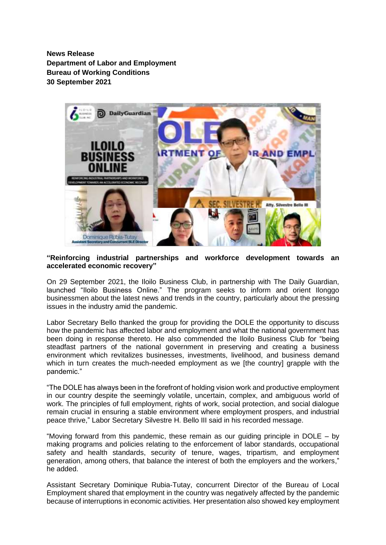**News Release Department of Labor and Employment Bureau of Working Conditions 30 September 2021**



**"Reinforcing industrial partnerships and workforce development towards an accelerated economic recovery"**

On 29 September 2021, the Iloilo Business Club, in partnership with The Daily Guardian, launched "Iloilo Business Online." The program seeks to inform and orient Ilonggo businessmen about the latest news and trends in the country, particularly about the pressing issues in the industry amid the pandemic.

Labor Secretary Bello thanked the group for providing the DOLE the opportunity to discuss how the pandemic has affected labor and employment and what the national government has been doing in response thereto. He also commended the Iloilo Business Club for "being steadfast partners of the national government in preserving and creating a business environment which revitalizes businesses, investments, livelihood, and business demand which in turn creates the much-needed employment as we [the country] grapple with the pandemic."

"The DOLE has always been in the forefront of holding vision work and productive employment in our country despite the seemingly volatile, uncertain, complex, and ambiguous world of work. The principles of full employment, rights of work, social protection, and social dialogue remain crucial in ensuring a stable environment where employment prospers, and industrial peace thrive," Labor Secretary Silvestre H. Bello III said in his recorded message.

"Moving forward from this pandemic, these remain as our guiding principle in DOLE – by making programs and policies relating to the enforcement of labor standards, occupational safety and health standards, security of tenure, wages, tripartism, and employment generation, among others, that balance the interest of both the employers and the workers," he added.

Assistant Secretary Dominique Rubia-Tutay, concurrent Director of the Bureau of Local Employment shared that employment in the country was negatively affected by the pandemic because of interruptions in economic activities. Her presentation also showed key employment